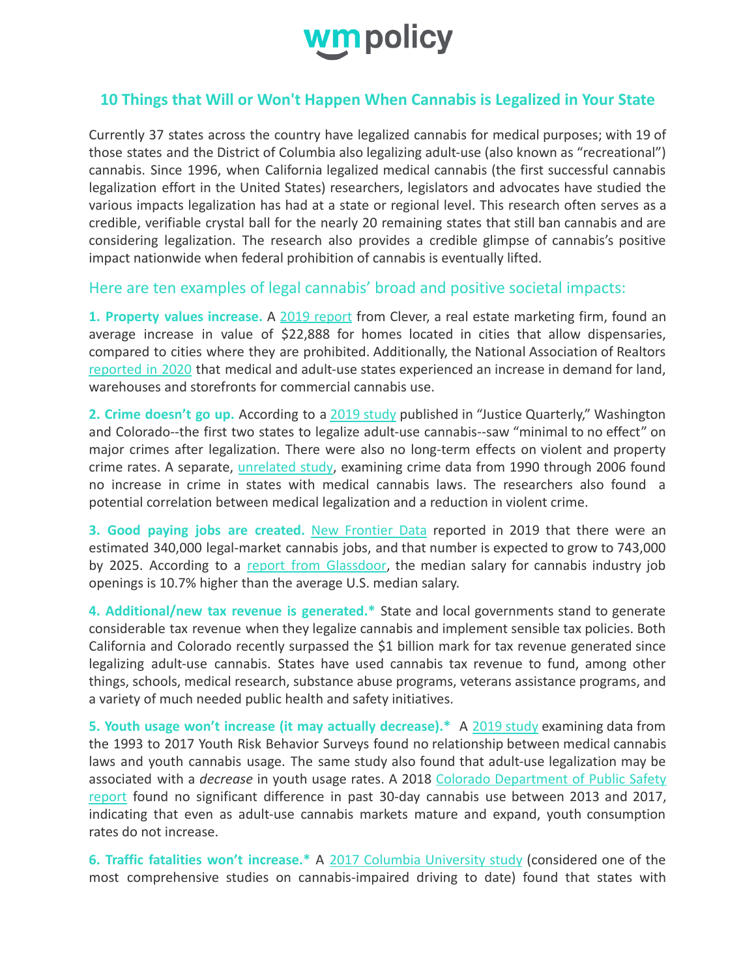

## **10 Things that Will or Won't Happen When Cannabis is Legalized in Your State**

Currently 37 states across the country have legalized cannabis for medical purposes; with 19 of those states and the District of Columbia also legalizing adult-use (also known as "recreational") cannabis. Since 1996, when California legalized medical cannabis (the first successful cannabis legalization effort in the United States) researchers, legislators and advocates have studied the various impacts legalization has had at a state or regional level. This research often serves as a credible, verifiable crystal ball for the nearly 20 remaining states that still ban cannabis and are considering legalization. The research also provides a credible glimpse of cannabis's positive impact nationwide when federal prohibition of cannabis is eventually lifted.

Here are ten examples of legal cannabis' broad and positive societal impacts:

**1. Property values increase.** A 2019 [report](https://listwithclever.com/research/marijuana-housing-market-study/) from Clever, a real estate marketing firm, found an average increase in value of \$22,888 for homes located in cities that allow dispensaries, compared to cities where they are prohibited. Additionally, the National Association of Realtors [reported](https://www.nar.realtor/sites/default/files/documents/2020-marijuana-and-real-estate-a-budding-issue-02-11-2020.pdf) in 2020 that medical and adult-use states experienced an increase in demand for land, warehouses and storefronts for commercial cannabis use.

**2. Crime doesn't go up.** According to a 2019 [study](https://www.tandfonline.com/doi/full/10.1080/07418825.2019.1666903) published in "Justice Quarterly," Washington and Colorado--the first two states to legalize adult-use cannabis--saw "minimal to no effect" on major crimes after legalization. There were also no long-term effects on violent and property crime rates. A separate, [unrelated](https://journals.plos.org/plosone/article?id=10.1371/journal.pone.0092816) study, examining crime data from 1990 through 2006 found no increase in crime in states with medical cannabis laws. The researchers also found a potential correlation between medical legalization and a reduction in violent crime.

**3. Good paying jobs are created.** New [Frontier](https://newfrontierdata.com/cannabis-insights/potential-cannabis-market-job-growth/) Data reported in 2019 that there were an estimated 340,000 legal-market cannabis jobs, and that number is expected to grow to 743,000 by 2025. According to a report from [Glassdoor](https://www.glassdoor.com/research/cannabis-talent-heats-up/), the median salary for cannabis industry job openings is 10.7% higher than the average U.S. median salary.

**4. Additional/new tax revenue is generated.\*** State and local governments stand to generate considerable tax revenue when they legalize cannabis and implement sensible tax policies. Both California and Colorado recently surpassed the \$1 billion mark for tax revenue generated since legalizing adult-use cannabis. States have used cannabis tax revenue to fund, among other things, schools, medical research, substance abuse programs, veterans assistance programs, and a variety of much needed public health and safety initiatives.

**5. Youth usage won't increase (it may actually decrease).\*** A 2019 [study](https://jamanetwork.com/journals/jamapediatrics/fullarticle/2737637) examining data from the 1993 to 2017 Youth Risk Behavior Surveys found no relationship between medical cannabis laws and youth cannabis usage. The same study also found that adult-use legalization may be associated with a *decrease* in youth usage rates. A 2018 Colorado [Department](https://cdpsdocs.state.co.us/ors/docs/reports/2018-SB13-283_Rpt.pdf) of Public Safety [report](https://cdpsdocs.state.co.us/ors/docs/reports/2018-SB13-283_Rpt.pdf) found no significant difference in past 30-day cannabis use between 2013 and 2017, indicating that even as adult-use cannabis markets mature and expand, youth consumption rates do not increase.

**6. Traffic fatalities won't increase.\*** A 2017 Columbia [University](https://ajph.aphapublications.org/doi/abs/10.2105/AJPH.2016.303577) study (considered one of the most comprehensive studies on cannabis-impaired driving to date) found that states with